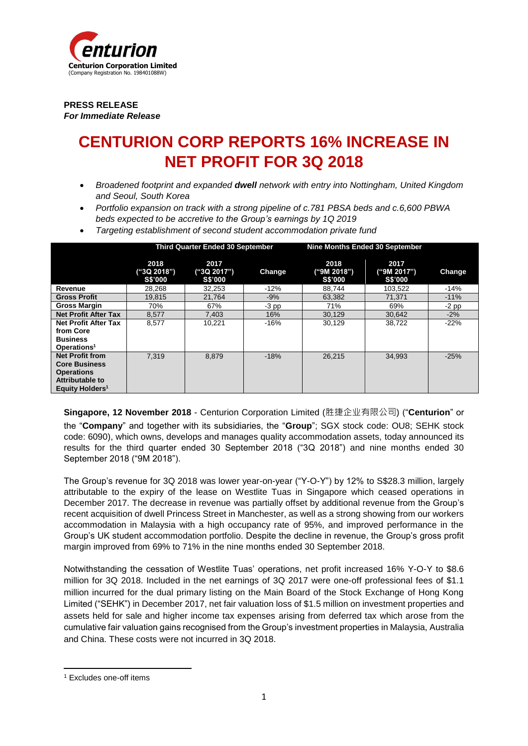

**PRESS RELEASE** *For Immediate Release*

# **CENTURION CORP REPORTS 16% INCREASE IN NET PROFIT FOR 3Q 2018**

- *Broadened footprint and expanded dwell network with entry into Nottingham, United Kingdom and Seoul, South Korea*
- *Portfolio expansion on track with a strong pipeline of c.781 PBSA beds and c.6,600 PBWA beds expected to be accretive to the Group's earnings by 1Q 2019*
- *Targeting establishment of second student accommodation private fund*

|                             | <b>Third Quarter Ended 30 September</b> |                                       | Nine Months Ended 30 September |                                |                                       |         |
|-----------------------------|-----------------------------------------|---------------------------------------|--------------------------------|--------------------------------|---------------------------------------|---------|
|                             | 2018<br>("3Q 2018")<br>S\$'000          | 2017<br>("3Q 2017")<br><b>S\$'000</b> | Change                         | 2018<br>("9M 2018")<br>S\$'000 | 2017<br>("9M 2017")<br><b>S\$'000</b> | Change  |
| Revenue                     | 28.268                                  | 32.253                                | $-12%$                         | 88.744                         | 103,522                               | $-14%$  |
| <b>Gross Profit</b>         | 19.815                                  | 21.764                                | $-9%$                          | 63.382                         | 71.371                                | $-11%$  |
| <b>Gross Margin</b>         | 70%                                     | 67%                                   | $-3$ pp                        | 71%                            | 69%                                   | $-2$ pp |
| <b>Net Profit After Tax</b> | 8,577                                   | 7,403                                 | 16%                            | 30,129                         | 30.642                                | $-2%$   |
| <b>Net Profit After Tax</b> | 8,577                                   | 10,221                                | -16%                           | 30,129                         | 38,722                                | $-22%$  |
| from Core                   |                                         |                                       |                                |                                |                                       |         |
| <b>Business</b>             |                                         |                                       |                                |                                |                                       |         |
| Operations <sup>1</sup>     |                                         |                                       |                                |                                |                                       |         |
| <b>Net Profit from</b>      | 7.319                                   | 8,879                                 | $-18%$                         | 26.215                         | 34.993                                | $-25%$  |
| <b>Core Business</b>        |                                         |                                       |                                |                                |                                       |         |
| <b>Operations</b>           |                                         |                                       |                                |                                |                                       |         |
| Attributable to             |                                         |                                       |                                |                                |                                       |         |
| Equity Holders <sup>1</sup> |                                         |                                       |                                |                                |                                       |         |

**Singapore, 12 November 2018** - Centurion Corporation Limited (胜捷企业有限公司) ("**Centurion**" or the "**Company**" and together with its subsidiaries, the "**Group**"; SGX stock code: OU8; SEHK stock code: 6090), which owns, develops and manages quality accommodation assets, today announced its results for the third quarter ended 30 September 2018 ("3Q 2018") and nine months ended 30 September 2018 ("9M 2018").

The Group's revenue for 3Q 2018 was lower year-on-year ("Y-O-Y") by 12% to S\$28.3 million, largely attributable to the expiry of the lease on Westlite Tuas in Singapore which ceased operations in December 2017. The decrease in revenue was partially offset by additional revenue from the Group's recent acquisition of dwell Princess Street in Manchester, as well as a strong showing from our workers accommodation in Malaysia with a high occupancy rate of 95%, and improved performance in the Group's UK student accommodation portfolio. Despite the decline in revenue, the Group's gross profit margin improved from 69% to 71% in the nine months ended 30 September 2018.

Notwithstanding the cessation of Westlite Tuas' operations, net profit increased 16% Y-O-Y to \$8.6 million for 3Q 2018. Included in the net earnings of 3Q 2017 were one-off professional fees of \$1.1 million incurred for the dual primary listing on the Main Board of the Stock Exchange of Hong Kong Limited ("SEHK") in December 2017, net fair valuation loss of \$1.5 million on investment properties and assets held for sale and higher income tax expenses arising from deferred tax which arose from the cumulative fair valuation gains recognised from the Group's investment properties in Malaysia, Australia and China. These costs were not incurred in 3Q 2018.

1

<sup>1</sup> Excludes one-off items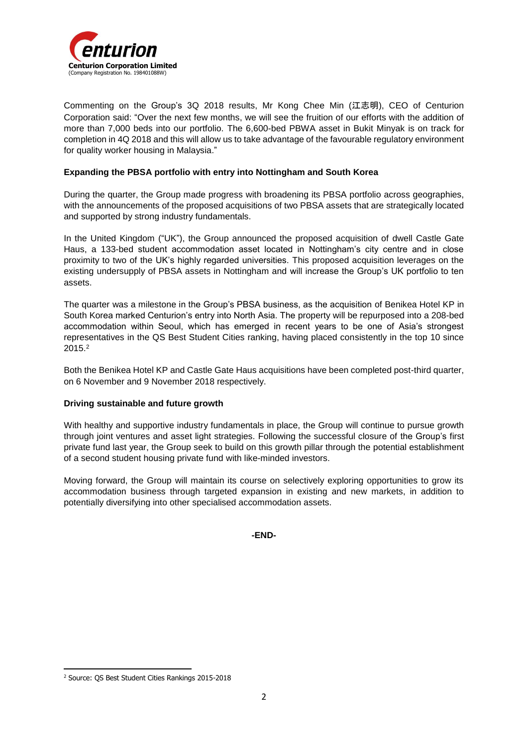

Commenting on the Group's 3Q 2018 results, Mr Kong Chee Min (江志明), CEO of Centurion Corporation said: "Over the next few months, we will see the fruition of our efforts with the addition of more than 7,000 beds into our portfolio. The 6,600-bed PBWA asset in Bukit Minyak is on track for completion in 4Q 2018 and this will allow us to take advantage of the favourable regulatory environment for quality worker housing in Malaysia."

### **Expanding the PBSA portfolio with entry into Nottingham and South Korea**

During the quarter, the Group made progress with broadening its PBSA portfolio across geographies, with the announcements of the proposed acquisitions of two PBSA assets that are strategically located and supported by strong industry fundamentals.

In the United Kingdom ("UK"), the Group announced the proposed acquisition of dwell Castle Gate Haus, a 133-bed student accommodation asset located in Nottingham's city centre and in close proximity to two of the UK's highly regarded universities. This proposed acquisition leverages on the existing undersupply of PBSA assets in Nottingham and will increase the Group's UK portfolio to ten assets.

The quarter was a milestone in the Group's PBSA business, as the acquisition of Benikea Hotel KP in South Korea marked Centurion's entry into North Asia. The property will be repurposed into a 208-bed accommodation within Seoul, which has emerged in recent years to be one of Asia's strongest representatives in the QS Best Student Cities ranking, having placed consistently in the top 10 since 2015.<sup>2</sup>

Both the Benikea Hotel KP and Castle Gate Haus acquisitions have been completed post-third quarter, on 6 November and 9 November 2018 respectively.

### **Driving sustainable and future growth**

With healthy and supportive industry fundamentals in place, the Group will continue to pursue growth through joint ventures and asset light strategies. Following the successful closure of the Group's first private fund last year, the Group seek to build on this growth pillar through the potential establishment of a second student housing private fund with like-minded investors.

Moving forward, the Group will maintain its course on selectively exploring opportunities to grow its accommodation business through targeted expansion in existing and new markets, in addition to potentially diversifying into other specialised accommodation assets.

**-END-**

**<sup>.</sup>** <sup>2</sup> Source: QS Best Student Cities Rankings 2015-2018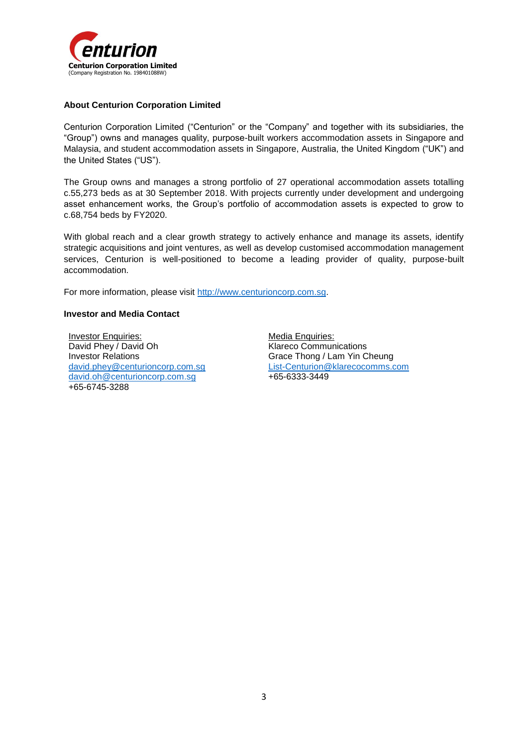

### **About Centurion Corporation Limited**

Centurion Corporation Limited ("Centurion" or the "Company" and together with its subsidiaries, the "Group") owns and manages quality, purpose-built workers accommodation assets in Singapore and Malaysia, and student accommodation assets in Singapore, Australia, the United Kingdom ("UK") and the United States ("US").

The Group owns and manages a strong portfolio of 27 operational accommodation assets totalling c.55,273 beds as at 30 September 2018. With projects currently under development and undergoing asset enhancement works, the Group's portfolio of accommodation assets is expected to grow to c.68,754 beds by FY2020.

With global reach and a clear growth strategy to actively enhance and manage its assets, identify strategic acquisitions and joint ventures, as well as develop customised accommodation management services, Centurion is well-positioned to become a leading provider of quality, purpose-built accommodation.

For more information, please visit [http://www.centurioncorp.com.sg.](http://www.centurioncorp.com.sg/)

#### **Investor and Media Contact**

Investor Enquiries: David Phey / David Oh Investor Relations david.phey[@centurioncorp.com.sg](mailto:david.oh@centurioncorp.com.sg) [david.oh@centurioncorp.com.sg](mailto:david.oh@centurioncorp.com.sg) +65-6745-3288

Media Enquiries: Klareco Communications Grace Thong / Lam Yin Cheung [List-Centurion@klarecocomms.com](mailto:List-Centurion@klarecocomms.com) +65-6333-3449